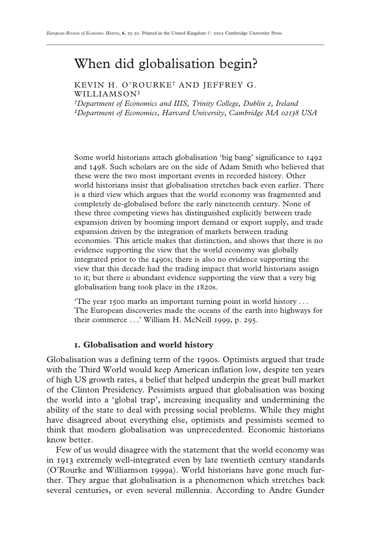# When did globalisation begin?

KEVIN H. O'ROURKE† AND JEFFREY G. WILLIAMSON‡

<sup>†</sup>Department of Economics and IIIS, Trinity College, Dublin 2, Ireland *‡Department of Economics, Harvard University, Cambridge MA USA*

Some world historians attach globalisation 'big bang' significance to 1492 and 1498. Such scholars are on the side of Adam Smith who believed that these were the two most important events in recorded history. Other world historians insist that globalisation stretches back even earlier. There is a third view which argues that the world economy was fragmented and completely de-globalised before the early nineteenth century. None of these three competing views has distinguished explicitly between trade expansion driven by booming import demand or export supply, and trade expansion driven by the integration of markets between trading economies. This article makes that distinction, and shows that there is no evidence supporting the view that the world economy was globally integrated prior to the 1490s; there is also no evidence supporting the view that this decade had the trading impact that world historians assign to it; but there *is* abundant evidence supporting the view that a very big globalisation bang took place in the 1820s.

'The year  $1500$  marks an important turning point in world history ... The European discoveries made the oceans of the earth into highways for their commerce ...' William H. McNeill 1999, p. 295.

### **. Globalisation and world history**

Globalisation was a defining term of the 1990s. Optimists argued that trade with the Third World would keep American inflation low, despite ten years of high US growth rates, a belief that helped underpin the great bull market of the Clinton Presidency. Pessimists argued that globalisation was boxing the world into a 'global trap', increasing inequality and undermining the ability of the state to deal with pressing social problems. While they might have disagreed about everything else, optimists and pessimists seemed to think that modern globalisation was unprecedented. Economic historians know better.

Few of us would disagree with the statement that the world economy was in 1913 extremely well-integrated even by late twentieth century standards (O'Rourke and Williamson 1999a). World historians have gone much further. They argue that globalisation is a phenomenon which stretches back several centuries, or even several millennia. According to Andre Gunder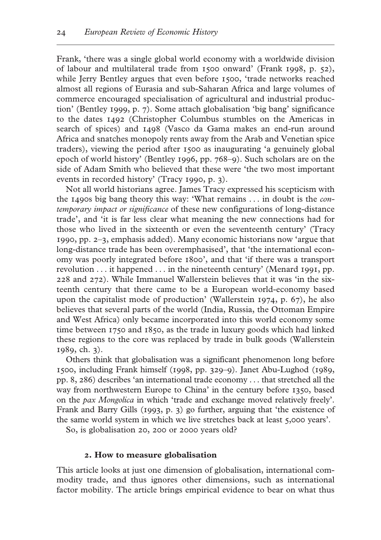Frank, 'there was a single global world economy with a worldwide division of labour and multilateral trade from  $1500$  onward' (Frank 1998, p. 52), while Jerry Bentley argues that even before 1500, 'trade networks reached almost all regions of Eurasia and sub-Saharan Africa and large volumes of commerce encouraged specialisation of agricultural and industrial production' (Bentley 1999, p. 7). Some attach globalisation 'big bang' significance to the dates 1492 (Christopher Columbus stumbles on the Americas in search of spices) and 1498 (Vasco da Gama makes an end-run around Africa and snatches monopoly rents away from the Arab and Venetian spice traders), viewing the period after 1500 as inaugurating 'a genuinely global epoch of world history' (Bentley 1996, pp.  $768-9$ ). Such scholars are on the side of Adam Smith who believed that these were 'the two most important events in recorded history' (Tracy 1990, p. 3).

Not all world historians agree. James Tracy expressed his scepticism with the 1490s big bang theory this way: 'What remains . . . in doubt is the *contemporary impact or significance* of these new configurations of long-distance trade', and 'it is far less clear what meaning the new connections had for those who lived in the sixteenth or even the seventeenth century' (Tracy 1990, pp.  $2-3$ , emphasis added). Many economic historians now 'argue that long-distance trade has been overemphasised', that 'the international economy was poorly integrated before 1800', and that 'if there was a transport revolution  $\dots$  it happened  $\dots$  in the nineteenth century' (Menard 1991, pp. 228 and 272). While Immanuel Wallerstein believes that it was 'in the sixteenth century that there came to be a European world-economy based upon the capitalist mode of production' (Wallerstein 1974, p.  $67$ ), he also believes that several parts of the world (India, Russia, the Ottoman Empire and West Africa) only became incorporated into this world economy some time between  $1750$  and  $1850$ , as the trade in luxury goods which had linked these regions to the core was replaced by trade in bulk goods (Wallerstein  $1989, ch. 3$ .

Others think that globalisation was a significant phenomenon long before  $1500$ , including Frank himself ( $1998$ , pp. 329–9). Janet Abu-Lughod ( $1989$ , pp.  $8$ ,  $286$ ) describes 'an international trade economy ... that stretched all the way from northwestern Europe to China' in the century before 1350, based on the *pax Mongolica* in which 'trade and exchange moved relatively freely'. Frank and Barry Gills (1993, p. 3) go further, arguing that 'the existence of the same world system in which we live stretches back at least 5,000 years'.

So, is globalisation 20, 200 or 2000 years old?

### **. How to measure globalisation**

This article looks at just one dimension of globalisation, international commodity trade, and thus ignores other dimensions, such as international factor mobility. The article brings empirical evidence to bear on what thus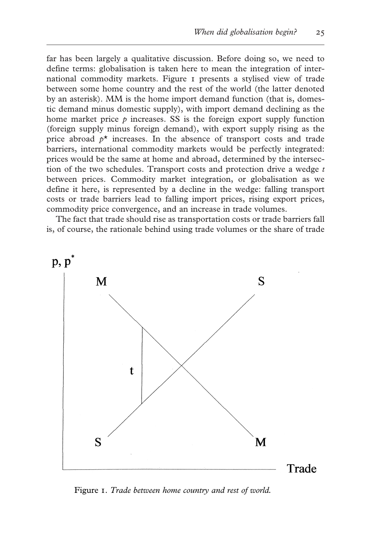far has been largely a qualitative discussion. Before doing so, we need to define terms: globalisation is taken here to mean the integration of international commodity markets. Figure I presents a stylised view of trade between some home country and the rest of the world (the latter denoted by an asterisk). MM is the home import demand function (that is, domestic demand minus domestic supply), with import demand declining as the home market price  $p$  increases. SS is the foreign export supply function (foreign supply minus foreign demand), with export supply rising as the price abroad  $p^*$  increases. In the absence of transport costs and trade barriers, international commodity markets would be perfectly integrated: prices would be the same at home and abroad, determined by the intersection of the two schedules. Transport costs and protection drive a wedge *t* between prices. Commodity market integration, or globalisation as we define it here, is represented by a decline in the wedge: falling transport costs or trade barriers lead to falling import prices, rising export prices, commodity price convergence, and an increase in trade volumes.

The fact that trade should rise as transportation costs or trade barriers fall is, of course, the rationale behind using trade volumes or the share of trade



Figure 1. *Trade between home country and rest of world*.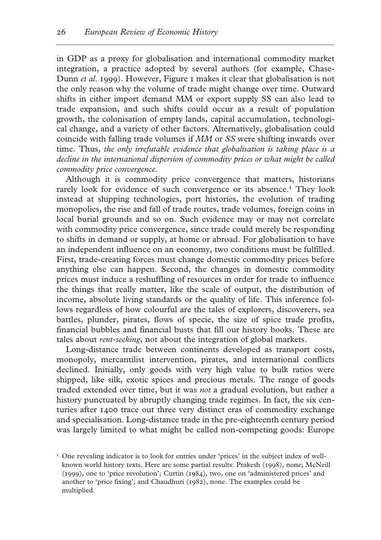in GDP as a proxy for globalisation and international commodity market integration, a practice adopted by several authors (for example, Chase-Dunn *et al.* 1999). However, Figure I makes it clear that globalisation is not the only reason why the volume of trade might change over time. Outward shifts in either import demand MM or export supply SS can also lead to trade expansion, and such shifts could occur as a result of population growth, the colonisation of empty lands, capital accumulation, technological change, and a variety of other factors. Alternatively, globalisation could coincide with falling trade volumes if *MM* or *SS* were shifting inwards over time. Thus, *the only irrefutable evidence that globalisation is taking place is a decline in the international dispersion of commodity prices or what might be called commodity price convergence*.

Although it is commodity price convergence that matters, historians rarely look for evidence of such convergence or its absence.<sup>I</sup> They look instead at shipping technologies, port histories, the evolution of trading monopolies, the rise and fall of trade routes, trade volumes, foreign coins in local burial grounds and so on. Such evidence may or may not correlate with commodity price convergence, since trade could merely be responding to shifts in demand or supply, at home or abroad. For globalisation to have an independent influence on an economy, two conditions must be fulfilled. First, trade-creating forces must change domestic commodity prices before anything else can happen. Second, the changes in domestic commodity prices must induce a reshuffling of resources in order for trade to influence the things that really matter, like the scale of output, the distribution of income, absolute living standards or the quality of life. This inference follows regardless of how colourful are the tales of explorers, discoverers, sea battles, plunder, pirates, flows of specie, the size of spice trade profits, financial bubbles and financial busts that fill our history books. These are tales about *rent-seeking*, not about the integration of global markets.

Long-distance trade between continents developed as transport costs, monopoly, mercantilist intervention, pirates, and international conflicts declined. Initially, only goods with very high value to bulk ratios were shipped, like silk, exotic spices and precious metals. The range of goods traded extended over time, but it was *not* a gradual evolution, but rather a history punctuated by abruptly changing trade regimes. In fact, the six centuries after 1400 trace out three very distinct eras of commodity exchange and specialisation. Long-distance trade in the pre-eighteenth century period was largely limited to what might be called non-competing goods: Europe

 $I<sup>T</sup>$  One revealing indicator is to look for entries under 'prices' in the subject index of wellknown world history texts. Here are some partial results: Prakesh (1998), none; McNeill (1999), one to 'price revolution'; Curtin (1984), two, one on 'administered prices' and another to 'price fixing'; and Chaudhuri (1982), none. The examples could be multiplied.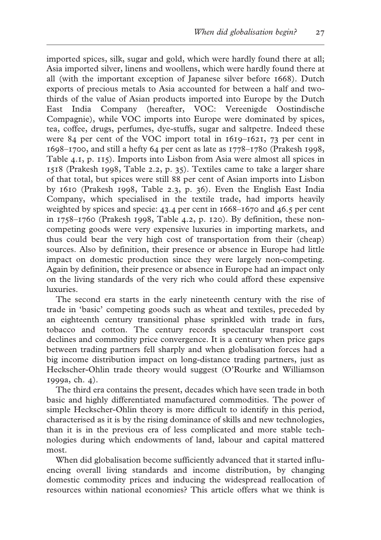imported spices, silk, sugar and gold, which were hardly found there at all; Asia imported silver, linens and woollens, which were hardly found there at all (with the important exception of Japanese silver before 1668). Dutch exports of precious metals to Asia accounted for between a half and twothirds of the value of Asian products imported into Europe by the Dutch East India Company (hereafter, VOC: Vereenigde Oostindische Compagnie), while VOC imports into Europe were dominated by spices, tea, coffee, drugs, perfumes, dye-stuffs, sugar and saltpetre. Indeed these were 84 per cent of the VOC import total in  $1619-1621$ , 73 per cent in  $1698 - 1700$ , and still a hefty 64 per cent as late as  $1778 - 1780$  (Prakesh 1998, Table  $4.1$ , p.  $115$ ). Imports into Lisbon from Asia were almost all spices in  $1518$  (Prakesh 1998, Table 2.2, p. 35). Textiles came to take a larger share of that total, but spices were still 88 per cent of Asian imports into Lisbon by 1610 (Prakesh 1998, Table 2.3, p. 36). Even the English East India Company, which specialised in the textile trade, had imports heavily weighted by spices and specie:  $43.4$  per cent in  $1668-1670$  and  $46.5$  per cent in  $1758-1760$  (Prakesh 1998, Table 4.2, p. 120). By definition, these noncompeting goods were very expensive luxuries in importing markets, and thus could bear the very high cost of transportation from their (cheap) sources. Also by definition, their presence or absence in Europe had little impact on domestic production since they were largely non-competing. Again by definition, their presence or absence in Europe had an impact only on the living standards of the very rich who could afford these expensive luxuries.

The second era starts in the early nineteenth century with the rise of trade in 'basic' competing goods such as wheat and textiles, preceded by an eighteenth century transitional phase sprinkled with trade in furs, tobacco and cotton. The century records spectacular transport cost declines and commodity price convergence. It is a century when price gaps between trading partners fell sharply and when globalisation forces had a big income distribution impact on long-distance trading partners, just as Heckscher-Ohlin trade theory would suggest (O'Rourke and Williamson 1999a, ch. 4).

The third era contains the present, decades which have seen trade in both basic and highly differentiated manufactured commodities. The power of simple Heckscher-Ohlin theory is more difficult to identify in this period, characterised as it is by the rising dominance of skills and new technologies, than it is in the previous era of less complicated and more stable technologies during which endowments of land, labour and capital mattered most.

When did globalisation become sufficiently advanced that it started influencing overall living standards and income distribution, by changing domestic commodity prices and inducing the widespread reallocation of resources within national economies? This article offers what we think is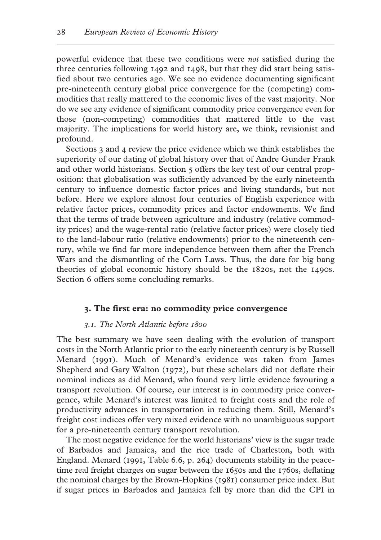powerful evidence that these two conditions were *not* satisfied during the three centuries following  $1492$  and  $1498$ , but that they did start being satisfied about two centuries ago. We see no evidence documenting significant pre-nineteenth century global price convergence for the (competing) commodities that really mattered to the economic lives of the vast majority. Nor do we see any evidence of significant commodity price convergence even for those (non-competing) commodities that mattered little to the vast majority. The implications for world history are, we think, revisionist and profound.

Sections  $\alpha$  and  $\beta$  review the price evidence which we think establishes the superiority of our dating of global history over that of Andre Gunder Frank and other world historians. Section 5 offers the key test of our central proposition: that globalisation was sufficiently advanced by the early nineteenth century to influence domestic factor prices and living standards, but not before. Here we explore almost four centuries of English experience with relative factor prices, commodity prices and factor endowments. We find that the terms of trade between agriculture and industry (relative commodity prices) and the wage-rental ratio (relative factor prices) were closely tied to the land-labour ratio (relative endowments) prior to the nineteenth century, while we find far more independence between them after the French Wars and the dismantling of the Corn Laws. Thus, the date for big bang theories of global economic history should be the  $1820s$ , not the  $1490s$ . Section 6 offers some concluding remarks.

### **. The first era: no commodity price convergence**

### *.. The North Atlantic before*

The best summary we have seen dealing with the evolution of transport costs in the North Atlantic prior to the early nineteenth century is by Russell Menard (1991). Much of Menard's evidence was taken from James Shepherd and Gary Walton (1972), but these scholars did not deflate their nominal indices as did Menard, who found very little evidence favouring a transport revolution. Of course, our interest is in commodity price convergence, while Menard's interest was limited to freight costs and the role of productivity advances in transportation in reducing them. Still, Menard's freight cost indices offer very mixed evidence with no unambiguous support for a pre-nineteenth century transport revolution.

The most negative evidence for the world historians' view is the sugar trade of Barbados and Jamaica, and the rice trade of Charleston, both with England. Menard  $(1991, 7ab]$  6.6, p. 264) documents stability in the peacetime real freight charges on sugar between the  $165$ os and the  $176$ os, deflating the nominal charges by the Brown-Hopkins (1981) consumer price index. But if sugar prices in Barbados and Jamaica fell by more than did the CPI in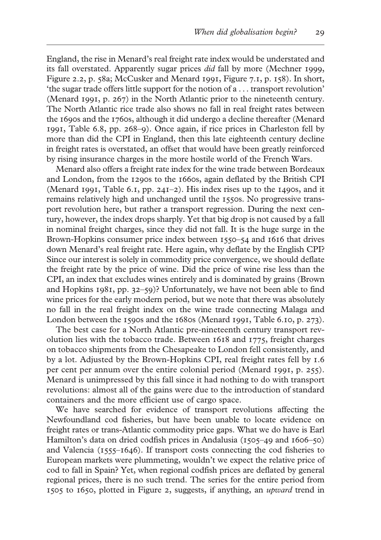England, the rise in Menard's real freight rate index would be understated and its fall overstated. Apparently sugar prices *did* fall by more (Mechner 1999, Figure 2.2, p. 58a; McCusker and Menard 1991, Figure 7.1, p. 158). In short, 'the sugar trade offers little support for the notion of a . . . transport revolution' (Menard 1991, p.  $267$ ) in the North Atlantic prior to the nineteenth century. The North Atlantic rice trade also shows no fall in real freight rates between the 1690s and the 1760s, although it did undergo a decline thereafter (Menard 1991, Table 6.8, pp. 268-9). Once again, if rice prices in Charleston fell by more than did the CPI in England, then this late eighteenth century decline in freight rates is overstated, an offset that would have been greatly reinforced by rising insurance charges in the more hostile world of the French Wars.

Menard also offers a freight rate index for the wine trade between Bordeaux and London, from the 1290s to the 1660s, again deflated by the British CPI (Menard 1991, Table 6.1, pp. 241–2). His index rises up to the 1490s, and it remains relatively high and unchanged until the 1550s. No progressive transport revolution here, but rather a transport regression. During the next century, however, the index drops sharply. Yet that big drop is not caused by a fall in nominal freight charges, since they did not fall. It is the huge surge in the Brown-Hopkins consumer price index between 1550–54 and 1616 that drives down Menard's real freight rate. Here again, why deflate by the English CPI? Since our interest is solely in commodity price convergence, we should deflate the freight rate by the price of wine. Did the price of wine rise less than the CPI, an index that excludes wines entirely and is dominated by grains (Brown and Hopkins  $1981$ , pp. 32–59)? Unfortunately, we have not been able to find wine prices for the early modern period, but we note that there was absolutely no fall in the real freight index on the wine trade connecting Malaga and London between the 1590s and the 1680s (Menard 1991, Table 6.10, p. 273).

The best case for a North Atlantic pre-nineteenth century transport revolution lies with the tobacco trade. Between  $1618$  and  $1775$ , freight charges on tobacco shipments from the Chesapeake to London fell consistently, and by a lot. Adjusted by the Brown-Hopkins CPI, real freight rates fell by . per cent per annum over the entire colonial period (Menard 1991, p. 255). Menard is unimpressed by this fall since it had nothing to do with transport revolutions: almost all of the gains were due to the introduction of standard containers and the more efficient use of cargo space.

We have searched for evidence of transport revolutions affecting the Newfoundland cod fisheries, but have been unable to locate evidence on freight rates or trans-Atlantic commodity price gaps. What we do have is Earl Hamilton's data on dried codfish prices in Andalusia  $(1505-49)$  and  $1606-50$ and Valencia ( $1555-1646$ ). If transport costs connecting the cod fisheries to European markets were plummeting, wouldn't we expect the relative price of cod to fall in Spain? Yet, when regional codfish prices are deflated by general regional prices, there is no such trend. The series for the entire period from 1505 to 1650, plotted in Figure 2, suggests, if anything, an *upward* trend in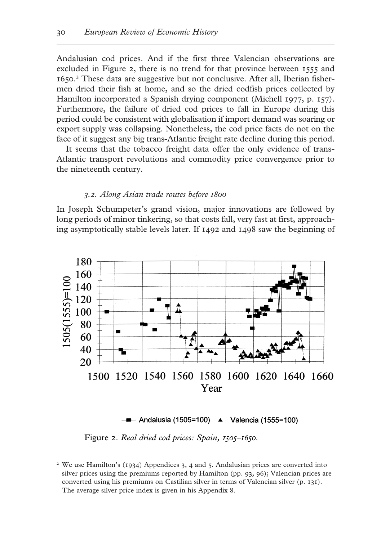Andalusian cod prices. And if the first three Valencian observations are excluded in Figure 2, there is no trend for that province between 1555 and . These data are suggestive but not conclusive. After all, Iberian fishermen dried their fish at home, and so the dried codfish prices collected by Hamilton incorporated a Spanish drying component (Michell 1977, p. 157). Furthermore, the failure of dried cod prices to fall in Europe during this period could be consistent with globalisation if import demand was soaring or export supply was collapsing. Nonetheless, the cod price facts do not on the face of it suggest any big trans-Atlantic freight rate decline during this period.

It seems that the tobacco freight data offer the only evidence of trans-Atlantic transport revolutions and commodity price convergence prior to the nineteenth century.

### *.. Along Asian trade routes before*

In Joseph Schumpeter's grand vision, major innovations are followed by long periods of minor tinkering, so that costs fall, very fast at first, approaching asymptotically stable levels later. If 1492 and 1498 saw the beginning of





Figure 2. Real dried cod prices: Spain, 1505-1650.

<sup>&</sup>lt;sup>2</sup> We use Hamilton's (1934) Appendices 3, 4 and 5. Andalusian prices are converted into silver prices using the premiums reported by Hamilton (pp. 93, 96); Valencian prices are converted using his premiums on Castilian silver in terms of Valencian silver  $(p. 131)$ . The average silver price index is given in his Appendix 8.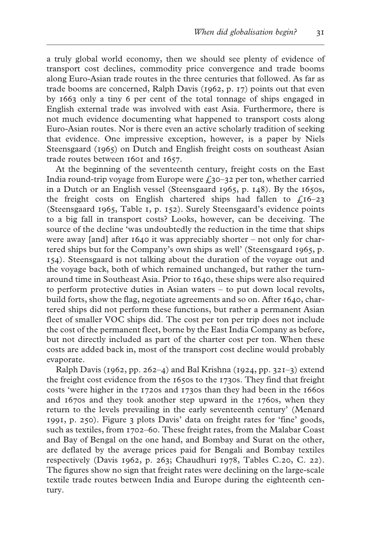a truly global world economy, then we should see plenty of evidence of transport cost declines, commodity price convergence and trade booms along Euro-Asian trade routes in the three centuries that followed. As far as trade booms are concerned, Ralph Davis ( $1962$ , p.  $17$ ) points out that even by 1663 only a tiny 6 per cent of the total tonnage of ships engaged in English external trade was involved with east Asia. Furthermore, there is not much evidence documenting what happened to transport costs along Euro-Asian routes. Nor is there even an active scholarly tradition of seeking that evidence. One impressive exception, however, is a paper by Niels Steensgaard (1965) on Dutch and English freight costs on southeast Asian trade routes between 1601 and 1657.

At the beginning of the seventeenth century, freight costs on the East India round-trip voyage from Europe were  $f_1$ 30–32 per ton, whether carried in a Dutch or an English vessel (Steensgaard 1965, p.  $148$ ). By the 1650s, the freight costs on English chartered ships had fallen to  $f<sub>1</sub>16-23$ (Steensgaard 1965, Table 1, p. 152). Surely Steensgaard's evidence points to a big fall in transport costs? Looks, however, can be deceiving. The source of the decline 'was undoubtedly the reduction in the time that ships were away [and] after  $1640$  it was appreciably shorter – not only for chartered ships but for the Company's own ships as well' (Steensgaard 1965, p. ). Steensgaard is not talking about the duration of the voyage out and the voyage back, both of which remained unchanged, but rather the turnaround time in Southeast Asia. Prior to 1640, these ships were also required to perform protective duties in Asian waters – to put down local revolts, build forts, show the flag, negotiate agreements and so on. After  $1640$ , chartered ships did not perform these functions, but rather a permanent Asian fleet of smaller VOC ships did. The cost per ton per trip does not include the cost of the permanent fleet, borne by the East India Company as before, but not directly included as part of the charter cost per ton. When these costs are added back in, most of the transport cost decline would probably evaporate.

Ralph Davis (1962, pp. 262–4) and Bal Krishna (1924, pp. 321–3) extend the freight cost evidence from the  $165$  os to the  $173$  os. They find that freight costs 'were higher in the  $1720s$  and  $1730s$  than they had been in the  $1660s$ and  $167$ os and they took another step upward in the  $176$ os, when they return to the levels prevailing in the early seventeenth century' (Menard 1991, p. 250). Figure 3 plots Davis' data on freight rates for 'fine' goods, such as textiles, from 1702-60. These freight rates, from the Malabar Coast and Bay of Bengal on the one hand, and Bombay and Surat on the other, are deflated by the average prices paid for Bengali and Bombay textiles respectively (Davis 1962, p. 263; Chaudhuri 1978, Tables C.20, C. 22). The figures show no sign that freight rates were declining on the large-scale textile trade routes between India and Europe during the eighteenth century.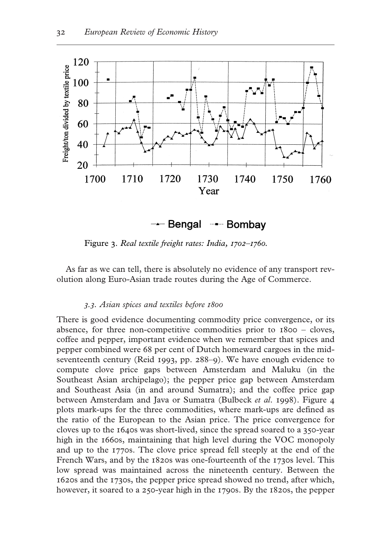

 $\rightarrow$  Bengal  $\rightarrow$  Bombay

Figure 3. *Real textile freight rates: India, 1702-1760.* 

As far as we can tell, there is absolutely no evidence of any transport revolution along Euro-Asian trade routes during the Age of Commerce.

### *.. Asian spices and textiles before*

There is good evidence documenting commodity price convergence, or its absence, for three non-competitive commodities prior to  $1800 -$  cloves, coffee and pepper, important evidence when we remember that spices and pepper combined were 68 per cent of Dutch homeward cargoes in the midseventeenth century (Reid 1993, pp.  $288-9$ ). We have enough evidence to compute clove price gaps between Amsterdam and Maluku (in the Southeast Asian archipelago); the pepper price gap between Amsterdam and Southeast Asia (in and around Sumatra); and the coffee price gap between Amsterdam and Java or Sumatra (Bulbeck *et al.* 1998). Figure 4 plots mark-ups for the three commodities, where mark-ups are defined as the ratio of the European to the Asian price. The price convergence for cloves up to the  $164$ os was short-lived, since the spread soared to a  $350$ -year high in the 1660s, maintaining that high level during the VOC monopoly and up to the 1770s. The clove price spread fell steeply at the end of the French Wars, and by the 1820s was one-fourteenth of the 1730s level. This low spread was maintained across the nineteenth century. Between the 1620s and the 1730s, the pepper price spread showed no trend, after which, however, it soared to a 250-year high in the 1790s. By the 1820s, the pepper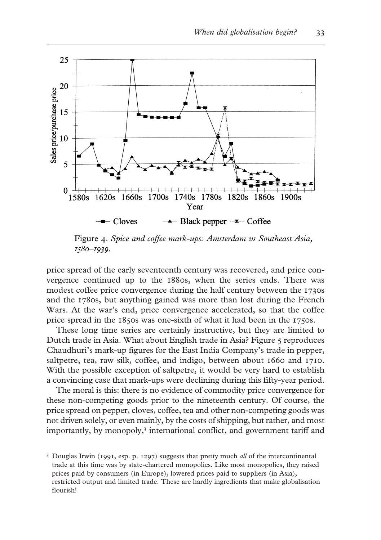

Figure 4. *Spice and coffee mark-ups: Amsterdam vs Southeast Asia*,  $1580 - 1939$ .

price spread of the early seventeenth century was recovered, and price convergence continued up to the 1880s, when the series ends. There was modest coffee price convergence during the half century between the 1730s and the 1780s, but anything gained was more than lost during the French Wars. At the war's end, price convergence accelerated, so that the coffee price spread in the  $185$ os was one-sixth of what it had been in the  $175$ os.

These long time series are certainly instructive, but they are limited to Dutch trade in Asia. What about English trade in Asia? Figure 5 reproduces Chaudhuri's mark-up figures for the East India Company's trade in pepper, saltpetre, tea, raw silk, coffee, and indigo, between about 1660 and 1710. With the possible exception of saltpetre, it would be very hard to establish a convincing case that mark-ups were declining during this fifty-year period.

The moral is this: there is no evidence of commodity price convergence for these non-competing goods prior to the nineteenth century. Of course, the price spread on pepper, cloves, coffee, tea and other non-competing goods was not driven solely, or even mainly, by the costs of shipping, but rather, and most importantly, by monopoly,<sup>3</sup> international conflict, and government tariff and

<sup>&</sup>lt;sup>3</sup> Douglas Irwin (1991, esp. p. 1297) suggests that pretty much *all* of the intercontinental trade at this time was by state-chartered monopolies. Like most monopolies, they raised prices paid by consumers (in Europe), lowered prices paid to suppliers (in Asia), restricted output and limited trade. These are hardly ingredients that make globalisation flourish!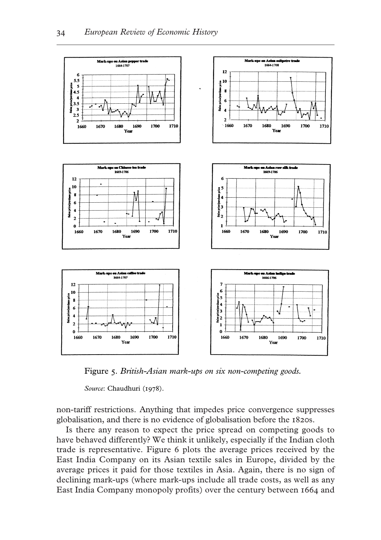

Figure 5. *British-Asian mark-ups on six non-competing goods.* 

*Source*: Chaudhuri (1978).

non-tariff restrictions. Anything that impedes price convergence suppresses globalisation, and there is no evidence of globalisation before the 1820s.

Is there any reason to expect the price spread on competing goods to have behaved differently? We think it unlikely, especially if the Indian cloth trade is representative. Figure 6 plots the average prices received by the East India Company on its Asian textile sales in Europe, divided by the average prices it paid for those textiles in Asia. Again, there is no sign of declining mark-ups (where mark-ups include all trade costs, as well as any East India Company monopoly profits) over the century between 1664 and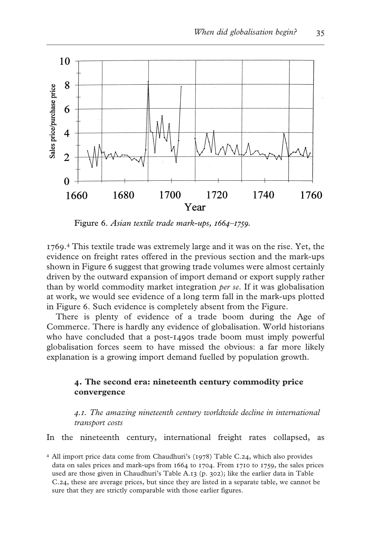

Figure 6. Asian textile trade mark-ups,  $1664-1759$ .

1769.<sup>4</sup> This textile trade was extremely large and it was on the rise. Yet, the evidence on freight rates offered in the previous section and the mark-ups shown in Figure 6 suggest that growing trade volumes were almost certainly driven by the outward expansion of import demand or export supply rather than by world commodity market integration *per se*. If it was globalisation at work, we would see evidence of a long term fall in the mark-ups plotted in Figure 6. Such evidence is completely absent from the Figure.

There is plenty of evidence of a trade boom during the Age of Commerce. There is hardly any evidence of globalisation. World historians who have concluded that a post-1490s trade boom must imply powerful globalisation forces seem to have missed the obvious: a far more likely explanation is a growing import demand fuelled by population growth.

## **. The second era: nineteenth century commodity price convergence**

*.. The amazing nineteenth century worldwide decline in international transport costs*

In the nineteenth century, international freight rates collapsed, as

<sup>&</sup>lt;sup>4</sup> All import price data come from Chaudhuri's (1978) Table C.24, which also provides data on sales prices and mark-ups from  $1664$  to  $1704$ . From  $1710$  to  $1759$ , the sales prices used are those given in Chaudhuri's Table A.13 (p. 302); like the earlier data in Table C.24, these are average prices, but since they are listed in a separate table, we cannot be sure that they are strictly comparable with those earlier figures.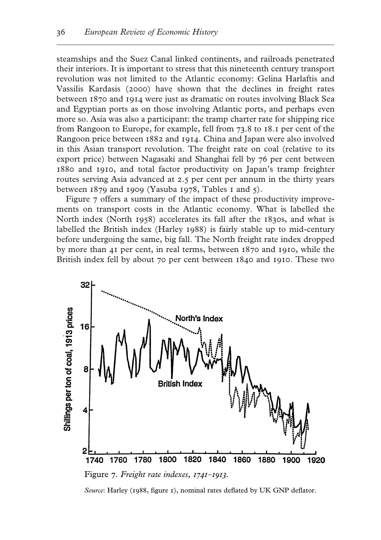steamships and the Suez Canal linked continents, and railroads penetrated their interiors. It is important to stress that this nineteenth century transport revolution was not limited to the Atlantic economy: Gelina Harlaftis and Vassilis Kardasis (2000) have shown that the declines in freight rates between 1870 and 1914 were just as dramatic on routes involving Black Sea and Egyptian ports as on those involving Atlantic ports, and perhaps even more so. Asia was also a participant: the tramp charter rate for shipping rice from Rangoon to Europe, for example, fell from 73.8 to 18.1 per cent of the Rangoon price between 1882 and 1914. China and Japan were also involved in this Asian transport revolution. The freight rate on coal (relative to its export price) between Nagasaki and Shanghai fell by 76 per cent between 1880 and 1910, and total factor productivity on Japan's tramp freighter routes serving Asia advanced at 2.5 per cent per annum in the thirty years between  $1879$  and  $1909$  (Yasuba  $1978$ , Tables I and 5).

Figure 7 offers a summary of the impact of these productivity improvements on transport costs in the Atlantic economy. What is labelled the North index (North 1958) accelerates its fall after the  $183$ os, and what is labelled the British index (Harley 1988) is fairly stable up to mid-century before undergoing the same, big fall. The North freight rate index dropped by more than 41 per cent, in real terms, between 1870 and 1910, while the British index fell by about 70 per cent between 1840 and 1910. These two



Source: Harley (1988, figure 1), nominal rates deflated by UK GNP deflator.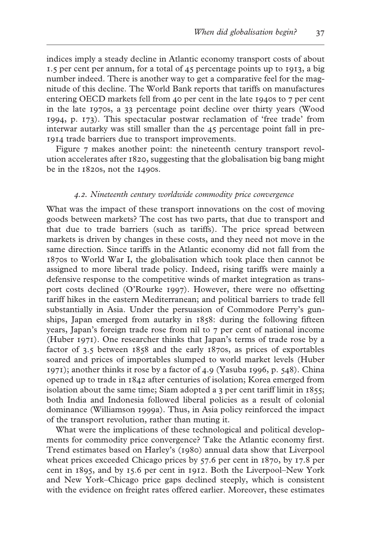indices imply a steady decline in Atlantic economy transport costs of about 1.5 per cent per annum, for a total of  $45$  percentage points up to 1913, a big number indeed. There is another way to get a comparative feel for the magnitude of this decline. The World Bank reports that tariffs on manufactures entering OECD markets fell from 40 per cent in the late 1940s to  $7$  per cent in the late 1970s, a 33 percentage point decline over thirty years (Wood , p. ). This spectacular postwar reclamation of 'free trade' from interwar autarky was still smaller than the  $45$  percentage point fall in pre-1914 trade barriers due to transport improvements.

Figure 7 makes another point: the nineteenth century transport revolution accelerates after  $1820$ , suggesting that the globalisation big bang might be in the  $1820s$ , not the  $1490s$ .

### *.. Nineteenth century worldwide commodity price convergence*

What was the impact of these transport innovations on the cost of moving goods between markets? The cost has two parts, that due to transport and that due to trade barriers (such as tariffs). The price spread between markets is driven by changes in these costs, and they need not move in the same direction. Since tariffs in the Atlantic economy did not fall from the 1870s to World War I, the globalisation which took place then cannot be assigned to more liberal trade policy. Indeed, rising tariffs were mainly a defensive response to the competitive winds of market integration as transport costs declined  $(O'Rowx)$ . However, there were no offsetting tariff hikes in the eastern Mediterranean; and political barriers to trade fell substantially in Asia. Under the persuasion of Commodore Perry's gunships, Japan emerged from autarky in 1858: during the following fifteen years, Japan's foreign trade rose from nil to per cent of national income (Huber 1971). One researcher thinks that Japan's terms of trade rose by a factor of  $3.5$  between  $1858$  and the early  $1870s$ , as prices of exportables soared and prices of importables slumped to world market levels (Huber  $1971$ ); another thinks it rose by a factor of 4.9 (Yasuba 1996, p. 548). China opened up to trade in 1842 after centuries of isolation; Korea emerged from isolation about the same time; Siam adopted a  $3$  per cent tariff limit in  $1855$ ; both India and Indonesia followed liberal policies as a result of colonial dominance (Williamson 1999a). Thus, in Asia policy reinforced the impact of the transport revolution, rather than muting it.

What were the implications of these technological and political developments for commodity price convergence? Take the Atlantic economy first. Trend estimates based on Harley's (1980) annual data show that Liverpool wheat prices exceeded Chicago prices by  $57.6$  per cent in  $1870$ , by  $17.8$  per cent in  $1895$ , and by  $15.6$  per cent in  $1912$ . Both the Liverpool–New York and New York–Chicago price gaps declined steeply, which is consistent with the evidence on freight rates offered earlier. Moreover, these estimates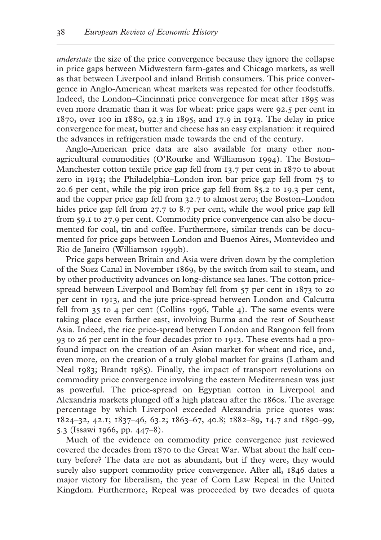*understate* the size of the price convergence because they ignore the collapse in price gaps between Midwestern farm-gates and Chicago markets, as well as that between Liverpool and inland British consumers. This price convergence in Anglo-American wheat markets was repeated for other foodstuffs. Indeed, the London–Cincinnati price convergence for meat after 1895 was even more dramatic than it was for wheat: price gaps were 92.5 per cent in 1870, over 100 in 1880, 92.3 in 1895, and 17.9 in 1913. The delay in price convergence for meat, butter and cheese has an easy explanation: it required the advances in refrigeration made towards the end of the century.

Anglo-American price data are also available for many other nonagricultural commodities  $(O'$ Rourke and Williamson  $1994$ ). The Boston– Manchester cotton textile price gap fell from  $13.7$  per cent in  $1870$  to about zero in  $1913$ ; the Philadelphia–London iron bar price gap fell from  $75$  to 20.6 per cent, while the pig iron price gap fell from  $85.2$  to 19.3 per cent, and the copper price gap fell from 32.7 to almost zero; the Boston–London hides price gap fell from  $27.7$  to  $8.7$  per cent, while the wool price gap fell from 59.1 to 27.9 per cent. Commodity price convergence can also be documented for coal, tin and coffee. Furthermore, similar trends can be documented for price gaps between London and Buenos Aires, Montevideo and Rio de Janeiro (Williamson 1999b).

Price gaps between Britain and Asia were driven down by the completion of the Suez Canal in November 1869, by the switch from sail to steam, and by other productivity advances on long-distance sea lanes. The cotton pricespread between Liverpool and Bombay fell from  $57$  per cent in  $1873$  to 20 per cent in 1913, and the jute price-spread between London and Calcutta fell from  $35$  to 4 per cent (Collins 1996, Table 4). The same events were taking place even farther east, involving Burma and the rest of Southeast Asia. Indeed, the rice price-spread between London and Rangoon fell from 93 to 26 per cent in the four decades prior to 1913. These events had a profound impact on the creation of an Asian market for wheat and rice, and, even more, on the creation of a truly global market for grains (Latham and Neal 1983; Brandt 1985). Finally, the impact of transport revolutions on commodity price convergence involving the eastern Mediterranean was just as powerful. The price-spread on Egyptian cotton in Liverpool and Alexandria markets plunged off a high plateau after the 1860s. The average percentage by which Liverpool exceeded Alexandria price quotes was: 1824-32, 42.1; 1837-46, 63.2; 1863-67, 40.8; 1882-89, 14.7 and 1890-99, 5.3 (Issawi 1966, pp.  $447-8$ ).

Much of the evidence on commodity price convergence just reviewed covered the decades from 1870 to the Great War. What about the half century before? The data are not as abundant, but if they were, they would surely also support commodity price convergence. After all,  $1846$  dates a major victory for liberalism, the year of Corn Law Repeal in the United Kingdom. Furthermore, Repeal was proceeded by two decades of quota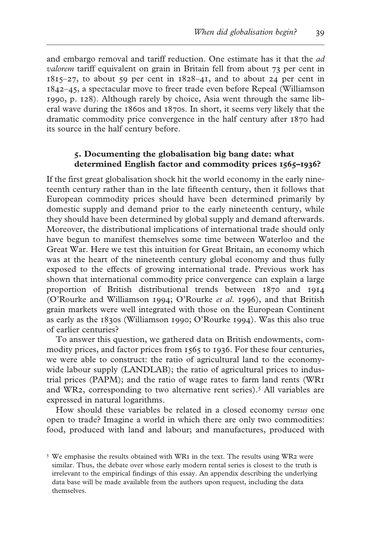and embargo removal and tariff reduction. One estimate has it that the *ad valorem* tariff equivalent on grain in Britain fell from about 73 per cent in  $1815-27$ , to about 59 per cent in  $1828-41$ , and to about 24 per cent in –, a spectacular move to freer trade even before Repeal (Williamson 1990, p. 128). Although rarely by choice, Asia went through the same liberal wave during the  $186$  os and  $187$  os. In short, it seems very likely that the dramatic commodity price convergence in the half century after 1870 had its source in the half century before.

### **. Documenting the globalisation big bang date: what** determined English factor and commodity prices 1565-1936?

If the first great globalisation shock hit the world economy in the early nineteenth century rather than in the late fifteenth century, then it follows that European commodity prices should have been determined primarily by domestic supply and demand prior to the early nineteenth century, while they should have been determined by global supply and demand afterwards. Moreover, the distributional implications of international trade should only have begun to manifest themselves some time between Waterloo and the Great War. Here we test this intuition for Great Britain, an economy which was at the heart of the nineteenth century global economy and thus fully exposed to the effects of growing international trade. Previous work has shown that international commodity price convergence can explain a large proportion of British distributional trends between  $1870$  and  $1914$ (O'Rourke and Williamson 1994; O'Rourke *et al.* 1996), and that British grain markets were well integrated with those on the European Continent as early as the  $183$  os (Williamson 1990; O'Rourke 1994). Was this also true of earlier centuries?

To answer this question, we gathered data on British endowments, commodity prices, and factor prices from 1565 to 1936. For these four centuries, we were able to construct: the ratio of agricultural land to the economywide labour supply (LANDLAB); the ratio of agricultural prices to industrial prices (PAPM); and the ratio of wage rates to farm land rents (WR and WR2, corresponding to two alternative rent series).<sup>5</sup> All variables are expressed in natural logarithms.

How should these variables be related in a closed economy *versus* one open to trade? Imagine a world in which there are only two commodities: food, produced with land and labour; and manufactures, produced with

 $\frac{1}{2}$  We emphasise the results obtained with WRI in the text. The results using WR2 were similar. Thus, the debate over whose early modern rental series is closest to the truth is irrelevant to the empirical findings of this essay. An appendix describing the underlying data base will be made available from the authors upon request, including the data themselves.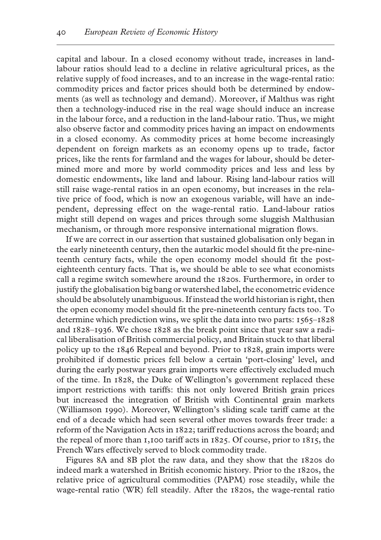capital and labour. In a closed economy without trade, increases in landlabour ratios should lead to a decline in relative agricultural prices, as the relative supply of food increases, and to an increase in the wage-rental ratio: commodity prices and factor prices should both be determined by endowments (as well as technology and demand). Moreover, if Malthus was right then a technology-induced rise in the real wage should induce an increase in the labour force, and a reduction in the land-labour ratio. Thus, we might also observe factor and commodity prices having an impact on endowments in a closed economy. As commodity prices at home become increasingly dependent on foreign markets as an economy opens up to trade, factor prices, like the rents for farmland and the wages for labour, should be determined more and more by world commodity prices and less and less by domestic endowments, like land and labour. Rising land-labour ratios will still raise wage-rental ratios in an open economy, but increases in the relative price of food, which is now an exogenous variable, will have an independent, depressing effect on the wage-rental ratio. Land-labour ratios might still depend on wages and prices through some sluggish Malthusian mechanism, or through more responsive international migration flows.

If we are correct in our assertion that sustained globalisation only began in the early nineteenth century, then the autarkic model should fit the pre-nineteenth century facts, while the open economy model should fit the posteighteenth century facts. That is, we should be able to see what economists call a regime switch somewhere around the 1820s. Furthermore, in order to justify the globalisation big bang or watershed label, the econometric evidence should be absolutely unambiguous. If instead the world historian is right, then the open economy model should fit the pre-nineteenth century facts too. To determine which prediction wins, we split the data into two parts:  $1565 - 1828$ and  $1828 - 1936$ . We chose  $1828$  as the break point since that year saw a radical liberalisation of British commercial policy, and Britain stuck to that liberal policy up to the 1846 Repeal and beyond. Prior to 1828, grain imports were prohibited if domestic prices fell below a certain 'port-closing' level, and during the early postwar years grain imports were effectively excluded much of the time. In 1828, the Duke of Wellington's government replaced these import restrictions with tariffs: this not only lowered British grain prices but increased the integration of British with Continental grain markets (Williamson 1990). Moreover, Wellington's sliding scale tariff came at the end of a decade which had seen several other moves towards freer trade: a reform of the Navigation Acts in 1822; tariff reductions across the board; and the repeal of more than  $1,100$  tariff acts in  $1825$ . Of course, prior to  $1815$ , the French Wars effectively served to block commodity trade.

Figures 8A and 8B plot the raw data, and they show that the 1820s do indeed mark a watershed in British economic history. Prior to the 1820s, the relative price of agricultural commodities (PAPM) rose steadily, while the wage-rental ratio (WR) fell steadily. After the 1820s, the wage-rental ratio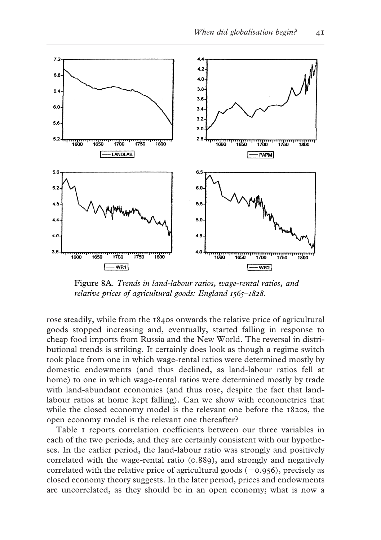

Figure A. *Trends in land-labour ratios, wage-rental ratios, and relative prices of agricultural goods: England 1565–1828.* 

rose steadily, while from the 1840s onwards the relative price of agricultural goods stopped increasing and, eventually, started falling in response to cheap food imports from Russia and the New World. The reversal in distributional trends is striking. It certainly does look as though a regime switch took place from one in which wage-rental ratios were determined mostly by domestic endowments (and thus declined, as land-labour ratios fell at home) to one in which wage-rental ratios were determined mostly by trade with land-abundant economies (and thus rose, despite the fact that landlabour ratios at home kept falling). Can we show with econometrics that while the closed economy model is the relevant one before the  $182$ os, the open economy model is the relevant one thereafter?

Table I reports correlation coefficients between our three variables in each of the two periods, and they are certainly consistent with our hypotheses. In the earlier period, the land-labour ratio was strongly and positively correlated with the wage-rental ratio  $(0.889)$ , and strongly and negatively correlated with the relative price of agricultural goods  $(-0.956)$ , precisely as closed economy theory suggests. In the later period, prices and endowments are uncorrelated, as they should be in an open economy; what is now a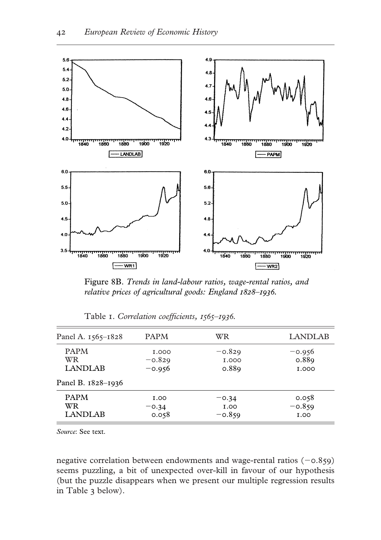

Figure B. *Trends in land-labour ratios, wage-rental ratios, and relative prices of agricultural goods: England 1828-1936.* 

| Panel A. 1565-1828                   | <b>PAPM</b>                          | WR                                 | LANDLAB                          |
|--------------------------------------|--------------------------------------|------------------------------------|----------------------------------|
| <b>PAPM</b><br>WR.<br><b>LANDLAB</b> | <b>I.000</b><br>$-0.829$<br>$-0.956$ | $-0.829$<br><b>I.000</b><br>0.889  | $-0.956$<br>0.889<br>I.000       |
| Panel B. 1828-1936                   |                                      |                                    |                                  |
| <b>PAPM</b><br>WR<br><b>LANDLAB</b>  | 1.00<br>$-0.34$<br>0.058             | $-0.34$<br><b>I.OO</b><br>$-0.859$ | 0.058<br>$-0.859$<br><b>I.OO</b> |

Table *I. Correlation coefficients*, 1565-1936.

*Source*: See text.

negative correlation between endowments and wage-rental ratios  $(-0.859)$ seems puzzling, a bit of unexpected over-kill in favour of our hypothesis (but the puzzle disappears when we present our multiple regression results in Table 3 below).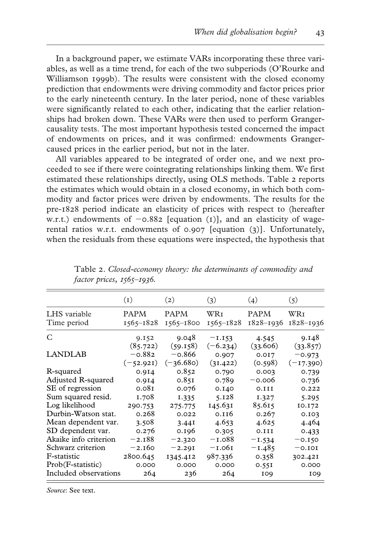In a background paper, we estimate VARs incorporating these three variables, as well as a time trend, for each of the two subperiods (O'Rourke and Williamson 1999b). The results were consistent with the closed economy prediction that endowments were driving commodity and factor prices prior to the early nineteenth century. In the later period, none of these variables were significantly related to each other, indicating that the earlier relationships had broken down. These VARs were then used to perform Grangercausality tests. The most important hypothesis tested concerned the impact of endowments on prices, and it was confirmed: endowments Grangercaused prices in the earlier period, but not in the later.

All variables appeared to be integrated of order one, and we next proceeded to see if there were cointegrating relationships linking them. We first estimated these relationships directly, using OLS methods. Table 2 reports the estimates which would obtain in a closed economy, in which both commodity and factor prices were driven by endowments. The results for the pre- period indicate an elasticity of prices with respect to (hereafter w.r.t.) endowments of  $-0.882$  [equation (1)], and an elasticity of wagerental ratios w.r.t. endowments of  $0.907$  [equation (3)]. Unfortunately, when the residuals from these equations were inspected, the hypothesis that

|                       | $\rm (I)$     | (2)         | (3)           | (4)         | (5)         |
|-----------------------|---------------|-------------|---------------|-------------|-------------|
| LHS variable          | <b>PAPM</b>   | <b>PAPM</b> | <b>WRI</b>    | <b>PAPM</b> | WRI         |
| Time period           | $1565 - 1828$ | 1565–1800   | $1565 - 1828$ | 1828–1936   | 1828-1936   |
| C                     | 9.152         | 9.048       | $-I.I53$      | 4.545       | 9.148       |
|                       | (85.722)      | (59.158)    | $(-6.234)$    | (33.606)    | (33.857)    |
| LANDLAB               | $-0.882$      | $-0.866$    | 0.907         | 0.017       | $-0.973$    |
|                       | $(-52.921)$   | $(-36.680)$ | (31.422)      | (0.598)     | $(-17.390)$ |
| R-squared             | 0.9I4         | 0.852       | 0.790         | 0.003       | 0.739       |
| Adjusted R-squared    | 0.9I4         | 0.85I       | 0.789         | $-0.006$    | 0.736       |
| SE of regression      | 0.08I         | 0.076       | 0.140         | 0.III       | 0.222       |
| Sum squared resid.    | I.708         | 1.335       | 5.128         | 1.327       | 5.295       |
| Log likelihood        | 290.753       | 275.775     | 145.631       | 85.615      | 10.172      |
| Durbin-Watson stat.   | 0.268         | 0.022       | 0.116         | 0.267       | 0.103       |
| Mean dependent var.   | 3.508         | 3.44I       | 4.653         | 4.625       | 4.464       |
| SD dependent var.     | 0.276         | 0.196       | 0.305         | 0.III       | 0.433       |
| Akaike info criterion | $-2.188$      | $-2.320$    | $-1.088$      | $-1.534$    | $-0.150$    |
| Schwarz criterion     | $-2.160$      | $-2.29I$    | $-1.061$      | $-1.485$    | $-0.10I$    |
| F-statistic           | 2800.645      | 1345.412    | 987.336       | 0.358       | 302.42I     |
| Prob(F-statistic)     | 0.000         | 0.000       | 0.000         | 0.55I       | 0.000       |
| Included observations | 264           | 236         | 264           | 109         | 109         |

Table 2. *Closed-economy theory: the determinants of commodity and factor prices, 1565-1936.* 

*Source*: See text.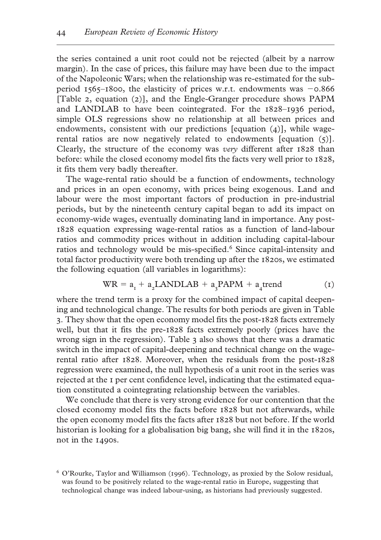the series contained a unit root could not be rejected (albeit by a narrow margin). In the case of prices, this failure may have been due to the impact of the Napoleonic Wars; when the relationship was re-estimated for the subperiod  $1565 - 1800$ , the elasticity of prices w.r.t. endowments was  $-0.866$ [Table 2, equation (2)], and the Engle-Granger procedure shows PAPM and LANDLAB to have been cointegrated. For the 1828–1936 period, simple OLS regressions show no relationship at all between prices and endowments, consistent with our predictions [equation  $(4)$ ], while wagerental ratios are now negatively related to endowments [equation  $(5)$ ]. Clearly, the structure of the economy was *very* different after 1828 than before: while the closed economy model fits the facts very well prior to  $1828$ , it fits them very badly thereafter.

The wage-rental ratio should be a function of endowments, technology and prices in an open economy, with prices being exogenous. Land and labour were the most important factors of production in pre-industrial periods, but by the nineteenth century capital began to add its impact on economy-wide wages, eventually dominating land in importance. Any post- 1828 equation expressing wage-rental ratios as a function of land-labour ratios and commodity prices without in addition including capital-labour ratios and technology would be mis-specified.<sup>6</sup> Since capital-intensity and total factor productivity were both trending up after the 1820s, we estimated the following equation (all variables in logarithms):

$$
WR = a_{1} + a_{2}LANDLAB + a_{3}PAPM + a_{4}trend
$$
 (1)

where the trend term is a proxy for the combined impact of capital deepening and technological change. The results for both periods are given in Table 3. They show that the open economy model fits the post-1828 facts extremely well, but that it fits the pre-1828 facts extremely poorly (prices have the wrong sign in the regression). Table 3 also shows that there was a dramatic switch in the impact of capital-deepening and technical change on the wagerental ratio after  $1828$ . Moreover, when the residuals from the post- $1828$ regression were examined, the null hypothesis of a unit root in the series was rejected at the per cent confidence level, indicating that the estimated equation constituted a cointegrating relationship between the variables.

We conclude that there is very strong evidence for our contention that the closed economy model fits the facts before  $1828$  but not afterwards, while the open economy model fits the facts after 1828 but not before. If the world historian is looking for a globalisation big bang, she will find it in the 1820s, not in the  $1490s$ .

 $6$  O'Rourke, Taylor and Williamson (1996). Technology, as proxied by the Solow residual, was found to be positively related to the wage-rental ratio in Europe, suggesting that technological change was indeed labour-using, as historians had previously suggested.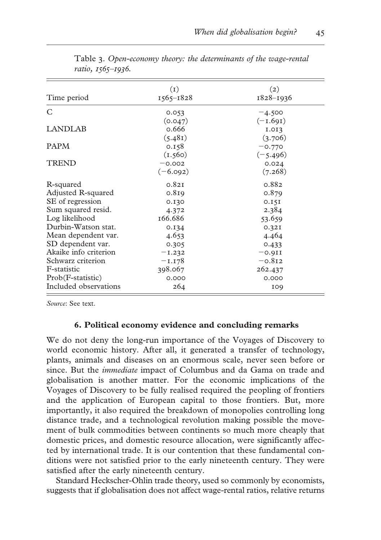| Time period           | (1)<br>$1565 - 1828$ | (2)<br>$1828 - 1936$ |
|-----------------------|----------------------|----------------------|
| C                     | 0.053                | $-4.500$             |
|                       | (0.047)              | $(-1.691)$           |
| <b>LANDLAB</b>        | 0.666                | I.013                |
|                       | (5.481)              | (3.706)              |
| <b>PAPM</b>           | 0.158                | $-0.770$             |
|                       | (1.560)              | $(-5.496)$           |
| <b>TREND</b>          | $-0.002$             | 0.024                |
|                       | $(-6.092)$           | (7.268)              |
| R-squared             | 0.82I                | 0.882                |
| Adjusted R-squared    | 0.819                | 0.879                |
| SE of regression      | 0.130                | 0.15I                |
| Sum squared resid.    | 4.372                | 2.384                |
| Log likelihood        | 166.686              | 53.659               |
| Durbin-Watson stat.   | 0.134                | 0.32I                |
| Mean dependent var.   | 4.653                | 4.464                |
| SD dependent var.     | 0.305                | 0.433                |
| Akaike info criterion | $-I.232$             | $-0.911$             |
| Schwarz criterion     | $-1.178$             | $-0.812$             |
| F-statistic           | 398.067              | 262.437              |
| Prob(F-statistic)     | 0.000                | 0.000                |
| Included observations | 264                  | 109                  |

Table 3. Open-economy theory: the determinants of the wage-rental *ratio*,  $1565 - 1936$ .

*Source*: See text.

### **. Political economy evidence and concluding remarks**

We do not deny the long-run importance of the Voyages of Discovery to world economic history. After all, it generated a transfer of technology, plants, animals and diseases on an enormous scale, never seen before or since. But the *immediate* impact of Columbus and da Gama on trade and globalisation is another matter. For the economic implications of the Voyages of Discovery to be fully realised required the peopling of frontiers and the application of European capital to those frontiers. But, more importantly, it also required the breakdown of monopolies controlling long distance trade, and a technological revolution making possible the movement of bulk commodities between continents so much more cheaply that domestic prices, and domestic resource allocation, were significantly affected by international trade. It is our contention that these fundamental conditions were not satisfied prior to the early nineteenth century. They were satisfied after the early nineteenth century.

Standard Heckscher-Ohlin trade theory, used so commonly by economists, suggests that if globalisation does not affect wage-rental ratios, relative returns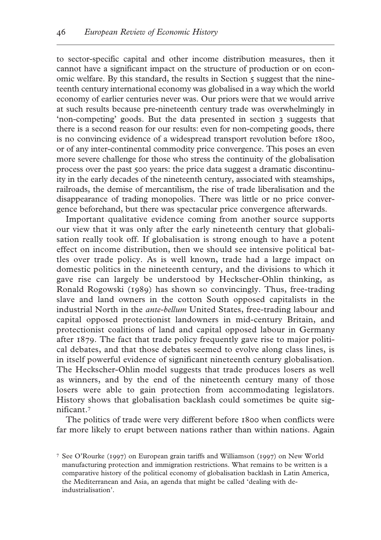to sector-specific capital and other income distribution measures, then it cannot have a significant impact on the structure of production or on economic welfare. By this standard, the results in Section 5 suggest that the nineteenth century international economy was globalised in a way which the world economy of earlier centuries never was. Our priors were that we would arrive at such results because pre-nineteenth century trade was overwhelmingly in 'non-competing' goods. But the data presented in section 3 suggests that there is a second reason for our results: even for non-competing goods, there is no convincing evidence of a widespread transport revolution before 1800, or of any inter-continental commodity price convergence. This poses an even more severe challenge for those who stress the continuity of the globalisation process over the past  $\zeta$  so years: the price data suggest a dramatic discontinuity in the early decades of the nineteenth century, associated with steamships, railroads, the demise of mercantilism, the rise of trade liberalisation and the disappearance of trading monopolies. There was little or no price convergence beforehand, but there was spectacular price convergence afterwards.

Important qualitative evidence coming from another source supports our view that it was only after the early nineteenth century that globalisation really took off. If globalisation is strong enough to have a potent effect on income distribution, then we should see intensive political battles over trade policy. As is well known, trade had a large impact on domestic politics in the nineteenth century, and the divisions to which it gave rise can largely be understood by Heckscher-Ohlin thinking, as Ronald Rogowski (1989) has shown so convincingly. Thus, free-trading slave and land owners in the cotton South opposed capitalists in the industrial North in the *ante-bellum* United States, free-trading labour and capital opposed protectionist landowners in mid-century Britain, and protectionist coalitions of land and capital opposed labour in Germany after 1879. The fact that trade policy frequently gave rise to major political debates, and that those debates seemed to evolve along class lines, is in itself powerful evidence of significant nineteenth century globalisation. The Heckscher-Ohlin model suggests that trade produces losers as well as winners, and by the end of the nineteenth century many of those losers were able to gain protection from accommodating legislators. History shows that globalisation backlash could sometimes be quite significant.

The politics of trade were very different before 1800 when conflicts were far more likely to erupt between nations rather than within nations. Again

<sup>&</sup>lt;sup>7</sup> See O'Rourke (1997) on European grain tariffs and Williamson (1997) on New World manufacturing protection and immigration restrictions. What remains to be written is a comparative history of the political economy of globalisation backlash in Latin America, the Mediterranean and Asia, an agenda that might be called 'dealing with deindustrialisation'.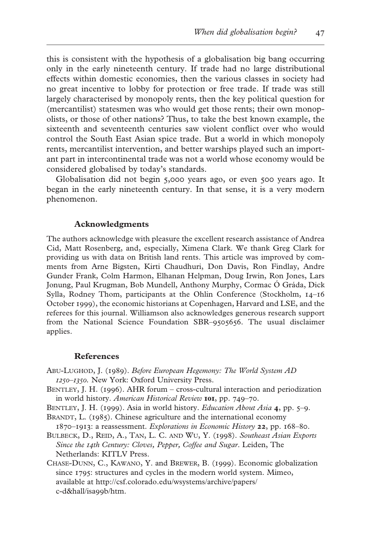this is consistent with the hypothesis of a globalisation big bang occurring only in the early nineteenth century. If trade had no large distributional effects within domestic economies, then the various classes in society had no great incentive to lobby for protection or free trade. If trade was still largely characterised by monopoly rents, then the key political question for (mercantilist) statesmen was who would get those rents; their own monopolists, or those of other nations? Thus, to take the best known example, the sixteenth and seventeenth centuries saw violent conflict over who would control the South East Asian spice trade. But a world in which monopoly rents, mercantilist intervention, and better warships played such an important part in intercontinental trade was not a world whose economy would be considered globalised by today's standards.

Globalisation did not begin 5,000 years ago, or even 500 years ago. It began in the early nineteenth century. In that sense, it is a very modern phenomenon.

#### **Acknowledgments**

The authors acknowledge with pleasure the excellent research assistance of Andrea Cid, Matt Rosenberg, and, especially, Ximena Clark. We thank Greg Clark for providing us with data on British land rents. This article was improved by comments from Arne Bigsten, Kirti Chaudhuri, Don Davis, Ron Findlay, Andre Gunder Frank, Colm Harmon, Elhanan Helpman, Doug Irwin, Ron Jones, Lars Jonung, Paul Krugman, Bob Mundell, Anthony Murphy, Cormac Ó Gráda, Dick Sylla, Rodney Thom, participants at the Ohlin Conference (Stockholm,  $14-16$ ) October 1999), the economic historians at Copenhagen, Harvard and LSE, and the referees for this journal. Williamson also acknowledges generous research support from the National Science Foundation SBR-9505656. The usual disclaimer applies.

#### **References**

- ABU-LUGHOD, J. (1989). *Before European Hegemony: The World System AD* 1250–1350. New York: Oxford University Press.
- BENTLEY, J. H. (1996). AHR forum cross-cultural interaction and periodization in world history. *American Historical Review* 101, pp. 749–70.
- BENTLEY, J. H. (1999). Asia in world history. *Education About Asia* 4, pp. 5-9.
- BRANDT, L. (1985). Chinese agriculture and the international economy 1870-1913: a reassessment. *Explorations in Economic History* 22, pp. 168-80.
- BULBECK, D., REID, A., TAN, L. C. AND WU, Y. (1998). Southeast Asian Exports *Since the th Century: Cloves, Pepper, Coffee and Sugar*. Leiden, The Netherlands: KITLV Press.
- CHASE-DUNN, C., KAWANO, Y. and BREWER, B. (1999). Economic globalization since 1795: structures and cycles in the modern world system. Mimeo, available at http://csf.colorado.edu/wsystems/archive/papers/ c-d&hall/isa99b/htm.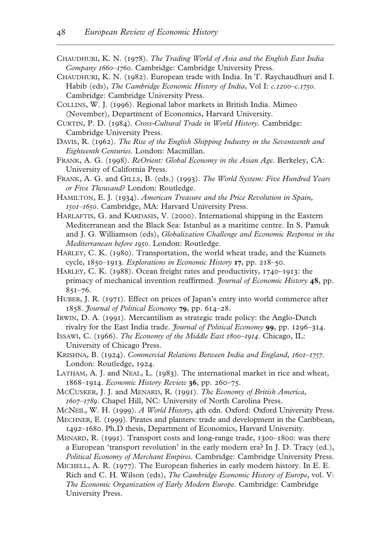- CHAUDHURI, K. N. (1978). *The Trading World of Asia and the English East India* Company 1660–1760. Cambridge: Cambridge University Press.
- CHAUDHURI, K. N. (1982). European trade with India. In T. Raychaudhuri and I. Habib (eds), *The Cambridge Economic History of India*, Vol I: *c.1200–c.1750*. Cambridge: Cambridge University Press.
- COLLINS, W. J. (1996). Regional labor markets in British India. Mimeo (November), Department of Economics, Harvard University.
- CURTIN, P. D. (1984). *Cross-Cultural Trade in World History*. Cambridge: Cambridge University Press.
- DAVIS, R. (1962). *The Rise of the English Shipping Industry in the Seventeenth and Eighteenth Centuries*. London: Macmillan.
- FRANK, A. G. (1998). *ReOrient: Global Economy in the Asian Age*. Berkeley, CA: University of California Press.
- FRANK, A. G. and GILLS, B. (eds.) (). *The World System: Five Hundred Years or Five Thousand?* London: Routledge.
- HAMILTON, E. J. (1934). *American Treasure and the Price Revolution in Spain*, 1501-1650. Cambridge, MA: Harvard University Press.
- HARLAFTIS, G. and KARDASIS, V. (2000). International shipping in the Eastern Mediterranean and the Black Sea: Istanbul as a maritime centre. In S. Pamuk and J. G. Williamson (eds), *Globalization Challenge and Economic Response in the Mediterranean before* . London: Routledge.
- HARLEY, C. K. (1980). Transportation, the world wheat trade, and the Kuznets cycle,  $1850-1913$ . *Explorations in Economic History* 17, pp. 218-50.
- HARLEY, C. K. (1988). Ocean freight rates and productivity, 1740-1913: the primacy of mechanical invention reaffirmed. *Journal of Economic History* 48, pp.  $85I - 76.$
- HUBER, J. R. (1971). Effect on prices of Japan's entry into world commerce after 1858. *Journal of Political Economy* 79, pp. 614-28.
- IRWIN, D. A. (1991). Mercantilism as strategic trade policy: the Anglo-Dutch rivalry for the East India trade. *Journal of Political Economy* 99, pp. 1296-314.
- ISSAWI, C. (1966). *The Economy of the Middle East 1800-1914*. Chicago, IL: University of Chicago Press.
- KRISHNA, B. (1924). *Commercial Relations Between India and England, 1601–1757*. London: Routledge, 1924.
- LATHAM, A. J. and NEAL, L. (1983). The international market in rice and wheat, 1868-1914. *Economic History Review* 36, pp. 260-75.
- MCCUSKER, J. J. and MENARD, R. (1991). *The Economy of British America*, *–*. Chapel Hill, NC: University of North Carolina Press.
- MCNEIL, W. H. (1999). *A World History*, 4th edn. Oxford: Oxford University Press.
- MECHNER, E. (1999). Pirates and planters: trade and development in the Caribbean, 1492–1680. Ph.D thesis, Department of Economics, Harvard University.

MENARD, R. (1991). Transport costs and long-range trade, 1300–1800: was there a European 'transport revolution' in the early modern era? In J. D. Tracy (ed.), *Political Economy of Merchant Empires*. Cambridge: Cambridge University Press.

MICHELL, A. R. (1977). The European fisheries in early modern history. In E. E. Rich and C. H. Wilson (eds), *The Cambridge Economic History of Europe*, vol. V: *The Economic Organization of Early Modern Europe*. Cambridge: Cambridge University Press.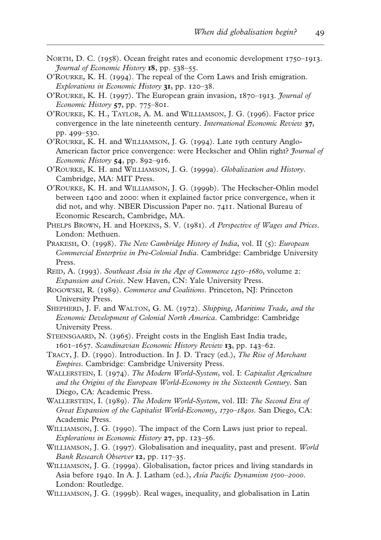- NORTH, D. C. (1958). Ocean freight rates and economic development 1750–1913. *Fournal of Economic History* **18**, pp. 538–55.
- O'ROURKE, K. H. (1994). The repeal of the Corn Laws and Irish emigration. *Explorations in Economic History* 31, pp. 120–38.
- O'ROURKE, K. H. (1997). The European grain invasion, 1870–1913. *Journal of Economic History* 57, pp. 775-801.
- O'ROURKE, K. H., TAYLOR, A. M. and WILLIAMSON, J. G. (1996). Factor price convergence in the late nineteenth century. *International Economic Review* 37, pp. 499-530.
- O'ROURKE, K. H. and WILLIAMSON, J. G. (1994). Late 19th century Anglo-American factor price convergence: were Heckscher and Ohlin right? *Journal of Economic History* 54, pp. 892–916.
- O'ROURKE, K. H. and WILLIAMSON, J. G. (1999a). *Globalization and History*. Cambridge, MA: MIT Press.
- O'ROURKE, K. H. and WILLIAMSON, J. G. (1999b). The Heckscher-Ohlin model between 1400 and 2000: when it explained factor price convergence, when it did not, and why. NBER Discussion Paper no. 7411. National Bureau of Economic Research, Cambridge, MA.
- PHELPS BROWN, H. and HOPKINS, S. V. (1981). *A Perspective of Wages and Prices*. London: Methuen.
- PRAKESH, O. (1998). *The New Cambridge History of India*, vol. II (5): *European Commercial Enterprise in Pre-Colonial India*. Cambridge: Cambridge University Press.
- REID, A. (1993). *Southeast Asia in the Age of Commerce 1450–1680*, volume 2: *Expansion and Crisis*. New Haven, CN: Yale University Press.
- ROGOWSKI, R. (1989). *Commerce and Coalitions*. Princeton, NJ: Princeton University Press.
- SHEPHERD, J. F. and WALTON, G. M. (1972). Shipping, Maritime Trade, and the *Economic Development of Colonial North America*. Cambridge: Cambridge University Press.
- STEENSGAARD, N. (1965). Freight costs in the English East India trade, 1601–1657. Scandinavian Economic History Review 13, pp. 143–62.
- TRACY, J. D. (1990). Introduction. In J. D. Tracy (ed.), *The Rise of Merchant Empires*. Cambridge: Cambridge University Press.
- WALLERSTEIN, I. (1974). *The Modern World-System*, vol. I: *Capitalist Agriculture and the Origins of the European World-Economy in the Sixteenth Century*. San Diego, CA: Academic Press.
- WALLERSTEIN, I. (1989). *The Modern World-System*, vol. III: *The Second Era of Great Expansion of the Capitalist World-Economy, 1730–1840s.* San Diego, CA: Academic Press.
- WILLIAMSON, J. G. (1990). The impact of the Corn Laws just prior to repeal. *Explorations in Economic History* 27, pp. 123-56.
- WILLIAMSON, J. G. (1997). Globalisation and inequality, past and present. *World Bank Research Observer* 12, pp. 117-35.
- WILLIAMSON, J. G. (1999a). Globalisation, factor prices and living standards in Asia before 1940. In A. J. Latham (ed.), *Asia Pacific Dynamism 1500-2000*. London: Routledge.
- WILLIAMSON, J. G. (1999b). Real wages, inequality, and globalisation in Latin